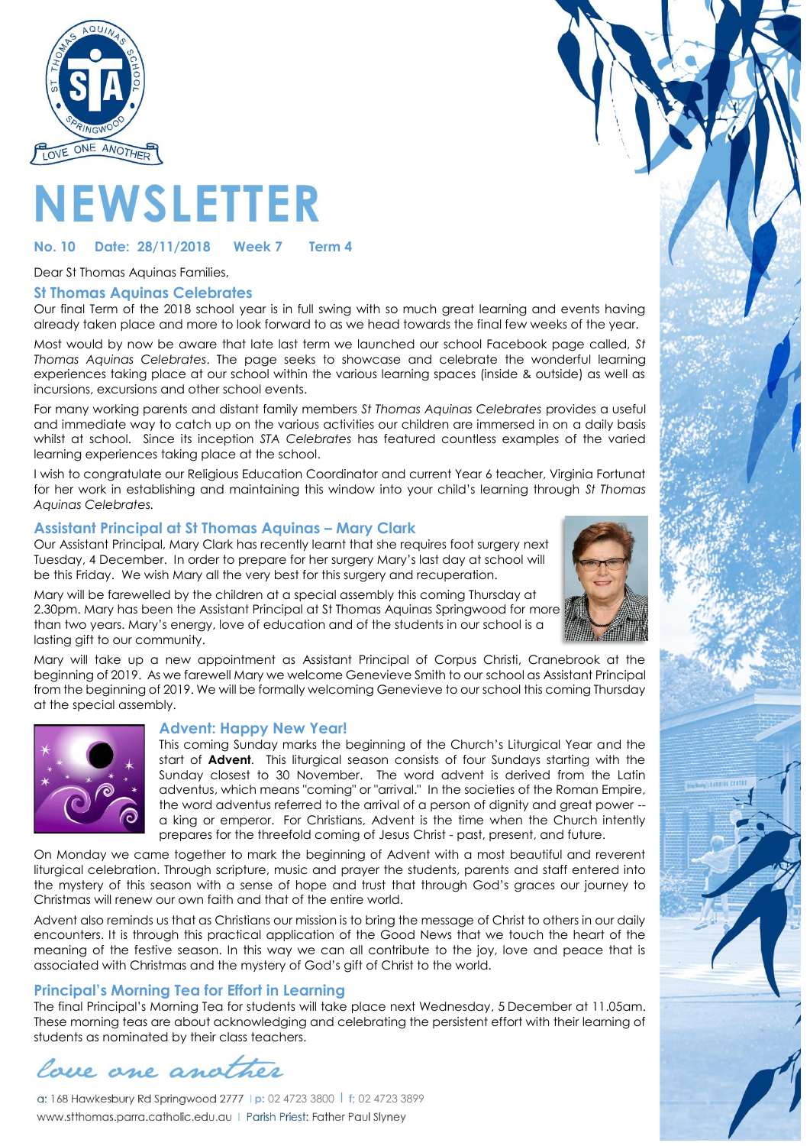

# **NEWSLETTER**

# **No. 10 Date: 28/11/2018 Week 7 Term 4**

#### Dear St Thomas Aquinas Families,

## **St Thomas Aquinas Celebrates**

Our final Term of the 2018 school year is in full swing with so much great learning and events having already taken place and more to look forward to as we head towards the final few weeks of the year.

Most would by now be aware that late last term we launched our school Facebook page called, *St Thomas Aquinas Celebrates*. The page seeks to showcase and celebrate the wonderful learning experiences taking place at our school within the various learning spaces (inside & outside) as well as incursions, excursions and other school events.

For many working parents and distant family members *St Thomas Aquinas Celebrates* provides a useful and immediate way to catch up on the various activities our children are immersed in on a daily basis whilst at school. Since its inception *STA Celebrates* has featured countless examples of the varied learning experiences taking place at the school.

I wish to congratulate our Religious Education Coordinator and current Year 6 teacher, Virginia Fortunat for her work in establishing and maintaining this window into your child's learning through *St Thomas Aquinas Celebrates.*

# **Assistant Principal at St Thomas Aquinas – Mary Clark**

Our Assistant Principal, Mary Clark has recently learnt that she requires foot surgery next Tuesday, 4 December. In order to prepare for her surgery Mary's last day at school will be this Friday. We wish Mary all the very best for this surgery and recuperation.

Mary will be farewelled by the children at a special assembly this coming Thursday at 2.30pm. Mary has been the Assistant Principal at St Thomas Aquinas Springwood for more than two years. Mary's energy, love of education and of the students in our school is a lasting gift to our community.



Mary will take up a new appointment as Assistant Principal of Corpus Christi, Cranebrook at the beginning of 2019. As we farewell Mary we welcome Genevieve Smith to our school as Assistant Principal from the beginning of 2019. We will be formally welcoming Genevieve to our school this coming Thursday at the special assembly.



# **Advent: Happy New Year!**

This coming Sunday marks the beginning of the Church's Liturgical Year and the start of **Advent**. This liturgical season consists of four Sundays starting with the Sunday closest to 30 November. The word advent is derived from the Latin adventus, which means "coming" or "arrival." In the societies of the Roman Empire, the word adventus referred to the arrival of a person of dignity and great power - a king or emperor. For Christians, Advent is the time when the Church intently prepares for the threefold coming of Jesus Christ - past, present, and future.

On Monday we came together to mark the beginning of Advent with a most beautiful and reverent liturgical celebration. Through scripture, music and prayer the students, parents and staff entered into the mystery of this season with a sense of hope and trust that through God's graces our journey to Christmas will renew our own faith and that of the entire world.

Advent also reminds us that as Christians our mission is to bring the message of Christ to others in our daily encounters. It is through this practical application of the Good News that we touch the heart of the meaning of the festive season. In this way we can all contribute to the joy, love and peace that is associated with Christmas and the mystery of God's gift of Christ to the world.

# **Principal's Morning Tea for Effort in Learning**

The final Principal's Morning Tea for students will take place next Wednesday, 5 December at 11.05am. These morning teas are about acknowledging and celebrating the persistent effort with their learning of students as nominated by their class teachers.

lace one anot

**p:** 02 4723 3800 l **f;** 02 4723 3899www.stthomas.parra.catholic.edu.au | Parish Priest: Father Paul Slyney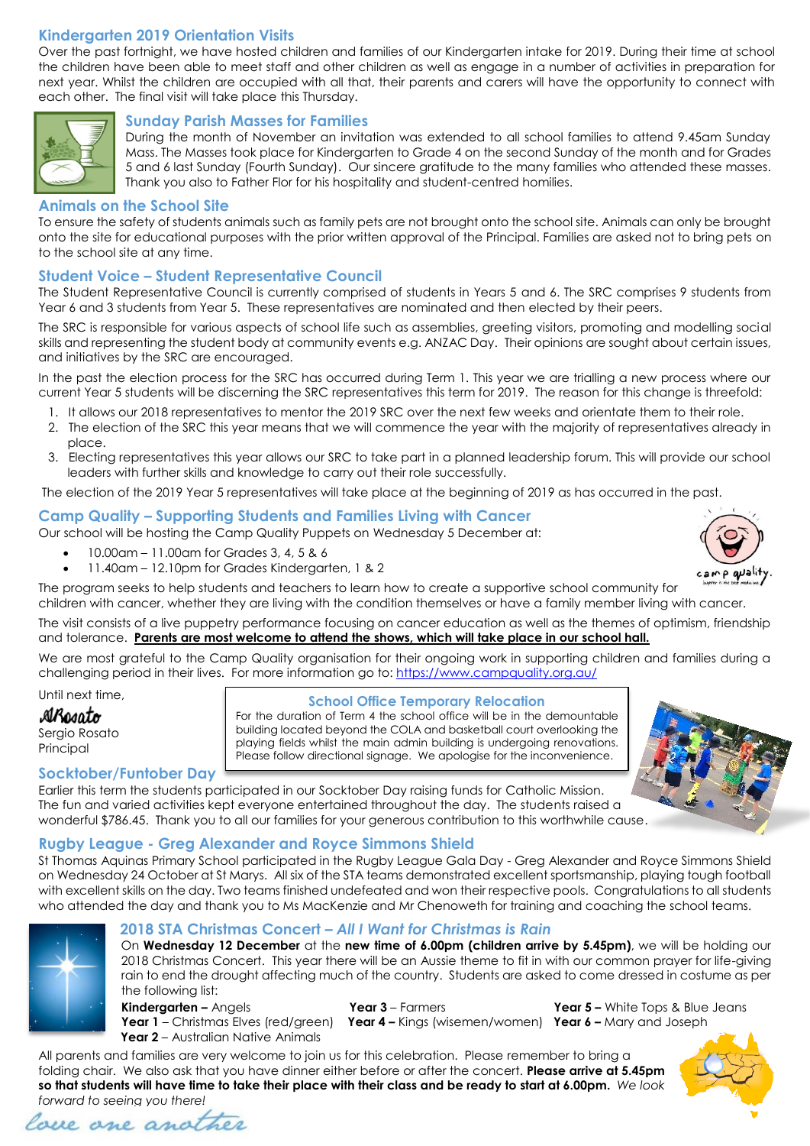# **Kindergarten 2019 Orientation Visits**

Over the past fortnight, we have hosted children and families of our Kindergarten intake for 2019. During their time at school the children have been able to meet staff and other children as well as engage in a number of activities in preparation for next year. Whilst the children are occupied with all that, their parents and carers will have the opportunity to connect with each other. The final visit will take place this Thursday.



## **Sunday Parish Masses for Families**

During the month of November an invitation was extended to all school families to attend 9.45am Sunday Mass. The Masses took place for Kindergarten to Grade 4 on the second Sunday of the month and for Grades 5 and 6 last Sunday (Fourth Sunday). Our sincere gratitude to the many families who attended these masses. Thank you also to Father Flor for his hospitality and student-centred homilies.

# **Animals on the School Site**

To ensure the safety of students animals such as family pets are not brought onto the school site. Animals can only be brought onto the site for educational purposes with the prior written approval of the Principal. Families are asked not to bring pets on to the school site at any time.

# **Student Voice – Student Representative Council**

The Student Representative Council is currently comprised of students in Years 5 and 6. The SRC comprises 9 students from Year 6 and 3 students from Year 5. These representatives are nominated and then elected by their peers.

The SRC is responsible for various aspects of school life such as assemblies, greeting visitors, promoting and modelling social skills and representing the student body at community events e.g. ANZAC Day. Their opinions are sought about certain issues, and initiatives by the SRC are encouraged.

In the past the election process for the SRC has occurred during Term 1. This year we are trialling a new process where our current Year 5 students will be discerning the SRC representatives this term for 2019. The reason for this change is threefold:

- 1. It allows our 2018 representatives to mentor the 2019 SRC over the next few weeks and orientate them to their role.
- 2. The election of the SRC this year means that we will commence the year with the majority of representatives already in place.
- 3. Electing representatives this year allows our SRC to take part in a planned leadership forum. This will provide our school leaders with further skills and knowledge to carry out their role successfully.

The election of the 2019 Year 5 representatives will take place at the beginning of 2019 as has occurred in the past.

# **Camp Quality – Supporting Students and Families Living with Cancer**

Our school will be hosting the Camp Quality Puppets on Wednesday 5 December at:

- 10.00am 11.00am for Grades 3, 4, 5 & 6
- 11.40am 12.10pm for Grades Kindergarten, 1 & 2

The program seeks to help students and teachers to learn how to create a supportive school community for

children with cancer, whether they are living with the condition themselves or have a family member living with cancer.

The visit consists of a live puppetry performance focusing on cancer education as well as the themes of optimism, friendship and tolerance. **Parents are most welcome to attend the shows, which will take place in our school hall.**

We are most grateful to the Camp Quality organisation for their ongoing work in supporting children and families during a challenging period in their lives. For more information go to:<https://www.campquality.org.au/>

Until next time,

ARosato Sergio Rosato Principal

**Socktober/Funtober Day**

#### **School Office Temporary Relocation**

For the duration of Term 4 the school office will be in the demountable building located beyond the COLA and basketball court overlooking the playing fields whilst the main admin building is undergoing renovations. Please follow directional signage. We apologise for the inconvenience.



Earlier this term the students participated in our Socktober Day raising funds for Catholic Mission. The fun and varied activities kept everyone entertained throughout the day. The students raised a wonderful \$786.45. Thank you to all our families for your generous contribution to this worthwhile cause.

# **Rugby League - Greg Alexander and Royce Simmons Shield**

St Thomas Aquinas Primary School participated in the Rugby League Gala Day - Greg Alexander and Royce Simmons Shield on Wednesday 24 October at St Marys. All six of the STA teams demonstrated excellent sportsmanship, playing tough football with excellent skills on the day. Two teams finished undefeated and won their respective pools. Congratulations to all students who attended the day and thank you to Ms MacKenzie and Mr Chenoweth for training and coaching the school teams.



# **2018 STA Christmas Concert –** *All I Want for Christmas is Rain*

On **Wednesday 12 December** at the **new time of 6.00pm (children arrive by 5.45pm)**, we will be holding our 2018 Christmas Concert. This year there will be an Aussie theme to fit in with our common prayer for life-giving rain to end the drought affecting much of the country. Students are asked to come dressed in costume as per the following list:

**Year 1** – Christmas Elves (red/green) **Year 4 –** Kings (wisemen/women) **Year 6 –** Mary and Joseph **Year 2** – Australian Native Animals

**Kindergarten –** Angels **Year 3** – Farmers **Year 5 –** White Tops & Blue Jeans

All parents and families are very welcome to join us for this celebration. Please remember to bring a folding chair. We also ask that you have dinner either before or after the concert. **Please arrive at 5.45pm so that students will have time to take their place with their class and be ready to start at 6.00pm.** *We look forward to seeing you there!*



love one another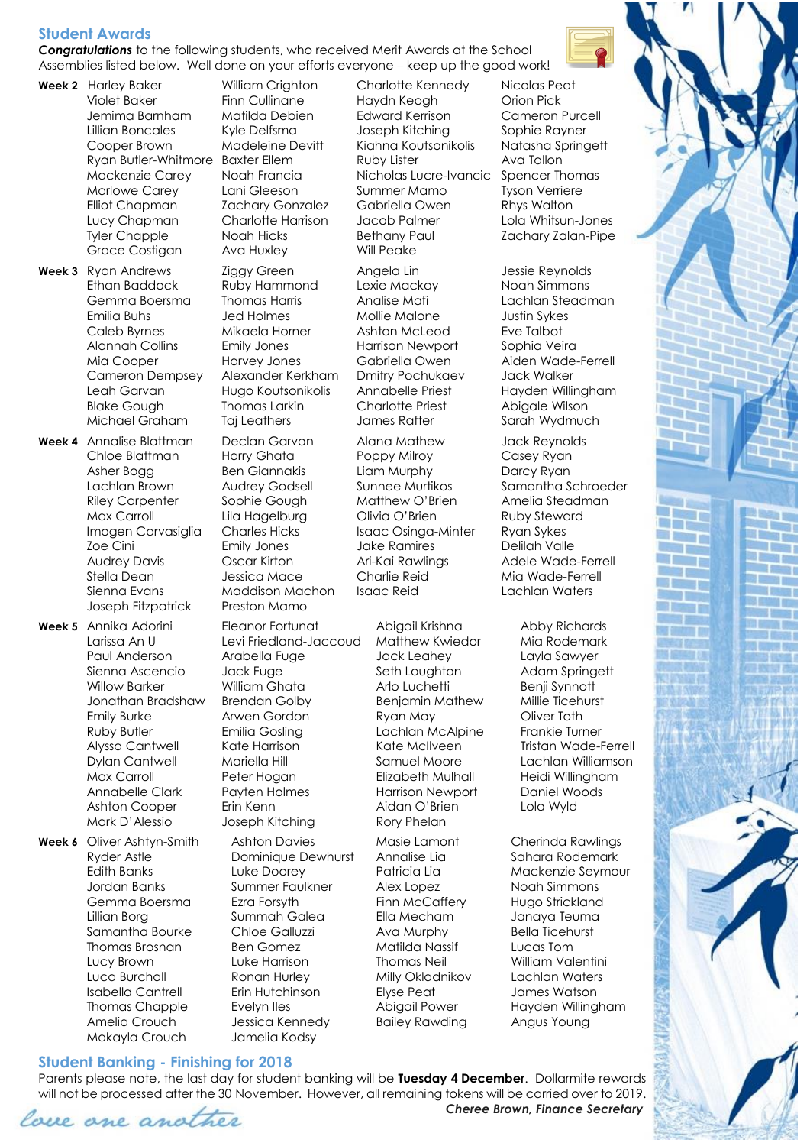# **Student Awards**

*Congratulations* to the following students, who received Merit Awards at the School Assemblies listed below. Well done on your efforts everyone – keep up the good work!

- 
- **Week 3** Ryan Andrews Ziggy Green Angela Lin Busie Reynolds Ethan Baddock Ruby Hammond Lexie Mackay Noah Simmons Gemma Boersma Thomas Harris Analise Mafi Lachlan Steadman Emilia Buhs Good Holmes Mollie Malone Gustin Sykes Caleb Byrnes Mikaela Horner Ashton McLeod Eve Talbot Alannah Collins Emily Jones Harrison Newport Sophia Veira Mia Cooper Harvey Jones Gabriella Owen Aiden Wade-Ferrell Cameron Dempsey Alexander Kerkham Dmitry Pochukaev Jack Walker Leah Garvan Hugo Koutsonikolis Annabelle Priest Hayden Willingham Blake Gough Thomas Larkin Charlotte Priest Abigale Wilson Michael Graham Taj Leathers James Rafter Sarah Wydmuch
- **Week 4** Annalise Blattman Declan Garvan Alana Mathew Jack Reynolds Chloe Blattman Harry Ghata Poppy Milroy Casey Ryan Asher Bogg Ben Giannakis Liam Murphy Darcy Ryan Riley Carpenter Sophie Gough Matthew O'Brien Amelia Steadman Max Carroll Lila Hagelburg Olivia O'Brien Ruby Steward Imogen Carvasiglia Charles Hicks Isaac Osinga-Minter Ryan Sykes Zoe Cini Emily Jones Jake Ramires Delilah Valle Audrey Davis Oscar Kirton Ari-Kai Rawlings Adele Wade-Ferrell Stella Dean Jessica Mace Charlie Reid Mia Wade-Ferrell Sienna Evans Maddison Machon Isaac Reid Lachlan Waters Joseph Fitzpatrick Preston Mamo

**Week 5** Annika Adorini Eleanor Fortunat Abigail Krishna Abby Richards Larissa An U Levi Friedland-Jaccoud Matthew Kwiedor Mia Rodemark Paul Anderson Arabella Fuge Jack Leahey Layla Sawyer Sienna Ascencio dack Fuge Seth Loughton Adam Springett Willow Barker Milliam Ghata Arlo Luchetti Benji Synnott Jonathan Bradshaw Brendan Golby Benjamin Mathew Millie Ticehurst Emily Burke Arwen Gordon Ryan May Oliver Toth Ruby Butler Emilia Gosling Lachlan McAlpine Frankie Turner Alyssa Cantwell Kate Harrison Kate McIlveen Tristan Wade-Ferrell Dylan Cantwell Mariella Hill Samuel Moore Lachlan Williamson Max Carroll Peter Hogan Elizabeth Mulhall Heidi Willingham Annabelle Clark Payten Holmes Harrison Newport Daniel Woods Ashton Cooper Erin Kenn Aidan O'Brien Lola Wyld Mark D'Alessio Joseph Kitching Rory Phelan

**Week 6** Oliver Ashtyn-Smith Ashton Davies Masie Lamont Cherinda Rawlings Ryder Astle **Dominique Dewhurst** Annalise Lia Sahara Rodemark Edith Banks Luke Doorey Patricia Lia Mackenzie Seymour Jordan Banks Summer Faulkner Alex Lopez Noah Simmons Gemma Boersma Ezra Forsyth Finn McCaffery Hugo Strickland Lillian Borg Summah Galea Ella Mecham Janaya Teuma Samantha Bourke Chloe Galluzzi Ava Murphy Bella Ticehurst Thomas Brosnan Ben Gomez Matilda Nassif Lucas Tom Lucy Brown Luke Harrison Thomas Neil William Valentini Luca Burchall Ronan Hurley Milly Okladnikov Lachlan Waters Isabella Cantrell Erin Hutchinson Elyse Peat James Watson Thomas Chapple Evelyn Iles Abigail Power Hayden Willingham Amelia Crouch Jessica Kennedy Bailey Rawding Angus Young

Grace Costigan Ava Huxley Will Peake

Makayla Crouch Jamelia Kodsy

**Week 2** Harley Baker William Crighton Charlotte Kennedy Nicolas Peat Violet Baker Finn Cullinane Haydn Keogh Orion Pick Jemima Barnham Matilda Debien Edward Kerrison Cameron Purcell Lillian Boncales Kyle Delfsma Joseph Kitching Sophie Rayner Cooper Brown Madeleine Devitt Kiahna Koutsonikolis Natasha Springett Ryan Butler-Whitmore Baxter Ellem Ruby Lister Ava Tallon Mackenzie Carey Noah Francia Nicholas Lucre-Ivancic Spencer Thomas Marlowe Carey Lani Gleeson Summer Mamo Tyson Verriere Elliot Chapman Zachary Gonzalez Gabriella Owen Rhys Walton Lucy Chapman Charlotte Harrison Jacob Palmer Lola Whitsun-Jones Tyler Chapple Noah Hicks Bethany Paul Zachary Zalan-Pipe

Lachlan Brown Audrey Godsell Sunnee Murtikos Samantha Schroeder

# **Student Banking - Finishing for 2018**

Parents please note, the last day for student banking will be **Tuesday 4 December**. Dollarmite rewards will not be processed after the 30 November. However, all remaining tokens will be carried over to 2019.